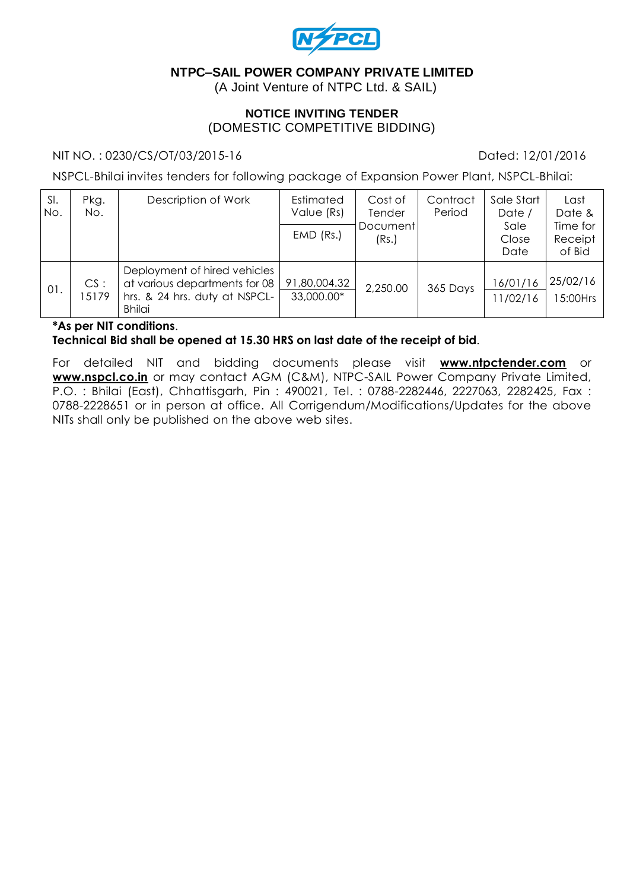

### **NTPC–SAIL POWER COMPANY PRIVATE LIMITED**

(A Joint Venture of NTPC Ltd. & SAIL)

### **NOTICE INVITING TENDER** (DOMESTIC COMPETITIVE BIDDING)

#### NIT NO.: 0230/CS/OT/03/2015-16 Dated: 12/01/2016

NSPCL-Bhilai invites tenders for following package of Expansion Power Plant, NSPCL-Bhilai:

| SI.<br>No. | Pkg.<br>No. | Description of Work                                                                                             | Estimated<br>Value (Rs)<br>$EMD$ (Rs.) | Cost of<br>Tender<br>Document<br>(Rs.) | Contract<br>Period | Sale Start<br>Date /<br>Sale<br>Close<br>Date | Last<br>Date &<br>Time for<br>Receipt<br>of Bid |
|------------|-------------|-----------------------------------------------------------------------------------------------------------------|----------------------------------------|----------------------------------------|--------------------|-----------------------------------------------|-------------------------------------------------|
| 01.        | CS:<br>5179 | Deployment of hired vehicles<br>at various departments for 08<br>hrs. & 24 hrs. duty at NSPCL-<br><b>Bhilai</b> | 91,80,004.32<br>33,000.00*             | 2,250.00                               | 365 Days           | 16/01/16<br>1/02/16                           | 25/02/16<br>15:00Hrs                            |

### **\*As per NIT conditions**.

**Technical Bid shall be opened at 15.30 HRS on last date of the receipt of bid**.

For detailed NIT and bidding documents please visit **www.ntpctender.com** or **[www.nspcl.co.in](http://www.nspcl.co.in/)** or may contact AGM (C&M), NTPC-SAIL Power Company Private Limited, P.O. : Bhilai (East), Chhattisgarh, Pin : 490021, Tel. : 0788-2282446, 2227063, 2282425, Fax : 0788-2228651 or in person at office. All Corrigendum/Modifications/Updates for the above NITs shall only be published on the above web sites.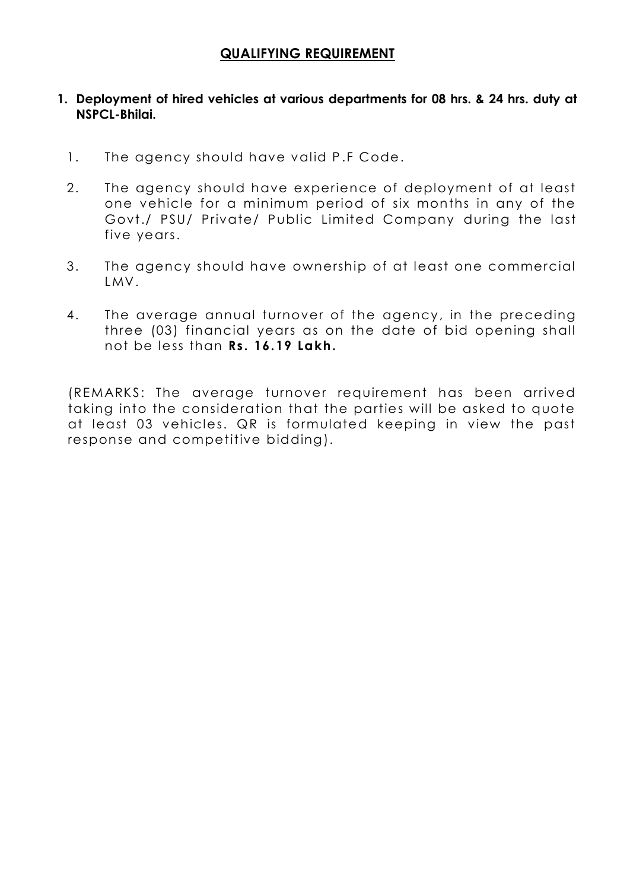## **QUALIFYING REQUIREMENT**

### **1. Deployment of hired vehicles at various departments for 08 hrs. & 24 hrs. duty at NSPCL-Bhilai.**

- 1. The agency should have valid P.F Code.
- 2. The agency should have experience of deployment of at least one vehicle for a minimum period of six months in any of the Govt./ PSU/ Private/ Public Limited Company during the last five years.
- 3. The agency should have ownership of at least one commercial LMV.
- 4. The average annual turnover of the agency, in the preceding three (03) financial years as on the date of bid opening shall not be less than **Rs. 16.19 Lakh.**

(REMARKS: The average turnover requirement has been arrived taking into the consideration that the parties will be asked to quote at least 03 vehicles. QR is formulated keeping in view the past response and competitive bidding).